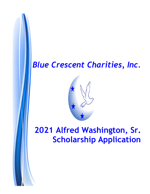## *Blue Crescent Charities, Inc.*



# **2021 Alfred Washington, Sr. Scholarship Application**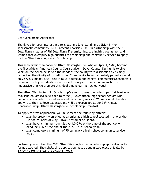

Dear Scholarship Applicant:

Thank you for your interest in participating a long-standing tradition in the Jacksonville community. Blue Crescent Charities, Inc., in partnership with the Nu Beta Sigma chapter of Phi Beta Sigma Fraternity, Inc. are inviting young men and women that exemplify high qualities of scholarship and community service to apply for the Alfred Washington Sr. Scholarship.

This scholarship is in honor of Alfred Washington, Sr. who on April 1, 1986, became the first African-American County Court Judge in Duval County. During his twelve years on the bench he served the needs of the county with distinction by "simply respecting the dignity of his fellow man", and while he unfortunately passed away at only 57, his impact is still felt in Duval's judicial and general communities. Scholarship is one of the highest ideals of our respective organizations, and as such it is imperative that we promote this ideal among our high school youth.

The Alfred Washington, Sr. Scholarship's aim is to award scholarships of at least one thousand dollars (\$1,000) each to three (3) exceptional high school seniors who demonstrate scholastic excellence and community service. Winners would be able apply it to their college expenses and will be recognized at our 34<sup>th</sup> Annual Honorable Judge Alfred Washington Sr. Scholarship Breakfast**.** 

To apply for this application, you must meet the following criteria:

- Must be presently enrolled as a senior at a high school located in one of the Florida counties of Clay, Duval, Nassau or St. Johns.
- Must have a minimum cumulative 3.0 GPA at the time of the application deadline AND at the end of the 2020 - 2021 school year.
- Must complete a minimum of 75 cumulative high school community service hours.

Enclosed you will find the 2021 Alfred Washington, Sr. scholarship application with forms attached. The scholarship application must be submitted electronically by *11:59:59 PM on Friday, Octoer 1, 2021.*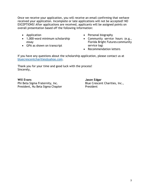Once we receive your application, you will receive an email confirming that we have received your application. Incomplete or late applications will not be accepted! NO EXCEPTIONS! After applications are received, applicants will be assigned points on overall presentation based off the following information:

- Application
- 1,000-word minimum scholarship essay
- GPA as shown on transcript
- Personal biography
- Community service hours (e.g., Florida Bright Futures community service log)
- Recommendation letters

If you have any questions about the scholarship application, please contact us at bluecrescentcharities@yahoo.com.

Thank you for your time and good luck with the process! Sincerely,

**Will Evans** 

Phi Beta Sigma Fraternity, Inc. President, Nu Beta Sigma Chapter **Jason Edgar**  Blue Crescent Charities, Inc., President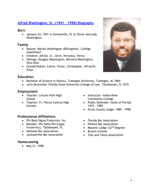## **Alfred Washington, Sr. (1941 - 1998) Biography**

#### **Born**

 January 24, 1941 in Gainesville, FL to Oliver and Judy Washington.

#### **Family**

- Spouse: Marian Washington (Billingslea) College sweetheart
- Children: Alfred, Jr., Alvin, Veronica, Verna
- Siblings: Douglas Washington, Bernard Washington, Vera Ross
- Grandchildren: Calvin, Victor, Christopher, Alfred III, Aliya

#### **Education**

- Bachelor of Science in History, Tuskegee University, Tuskegee, AL 1964
- Juris Doctorate, Florida State University College of Law, Tallahassee, FL 1975

#### **Employment**

- Teacher: Lincoln Park High School
- Teacher: Ft. Pierce Central High **Schools**

#### **Professional Affiliations**

- Phi Beta Sigma Fraternity, Inc.
- Member: Phi Delta Phi (Legal Fraternity), Tallahassee, FL
- National Bar Association
- Jacksonville Bar Association

#### **Homecoming**

• May 21, 1998

- Instructor: Indian River Community College
- Public Defender: State of Florida 1974 - 1985
- Duval County Judge: 1985 1998
- Florida Bar Association
- Perkins Bar Association
- Masonic Lodge  $(32<sup>nd</sup>$  Degree)
- Broach Schools
- Tots and Teens Association

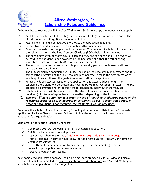

## **Alfred Washington, Sr. Scholarship Rules and Guidelines**

To be eligible to receive the 2021 Alfred Washington, Sr. Scholarship, the following rules apply:

- 1. Must be presently enrolled as a high school senior at a high school located in one of the Florida counties of Clay, Duval, Nassau or St. Johns.
- 2. Must have a minimum cumulative 3.0 GPA at the application deadline.
- 3. Demonstrate academic excellence and noteworthy community service.
- 4. One (1) scholarship per recipient will be awarded. The number of scholarship awards is at the sole discretion of the Blue Crescent Charities (BCC) scholarship committee.
- 5. The scholarships will be worth \$1,000 each and they are non-renewable. The award will be paid to the student in one payment at the beginning of either the fall or spring semester (whichever comes first) in which they first enroll.
- 6. The scholarship must be used at a college or university (trade schools are not allowed) with validated enrollment.
- 7. The BCC scholarship committee will judge the submitted scholarship applications and it is solely at the discretion of the BCC scholarship committee to make the determination of which applicants followed the guidelines as set forth in the application.
- 8. Finalists will be selected based on the application and attached documents. The scholarship recipient will be chosen and notified by **Monday, October 18, 2021.** The BCC scholarship committee reserves the right to conduct an interview of the finalists.
- 9. Scholarship checks will be mailed out to the student once enrollment verification is received (mid- to late-September at the earliest, depending on the institution).
- *10. Winners will have sixty (60) days after the end of the school's add/drop period of the registered semester to provide proof of enrollment to BCC. If after that period, if proof of enrollment is not received, the scholarship will be rescinded.*

Complete the scholarship application form, including all attachments listed on the Scholarship Application Package Checklist below. Failure to follow the instructions will result in your application's disqualification.

#### **Scholarship Application Package Checklist**:

- $\checkmark$  Completed 2021 Alfred Washington, Sr. Scholarship application.
- $\checkmark$  1,000-word minimum scholarship essay.
- Copy of high school transcript **(if SS# is on transcript, please strike it out).**
- $\checkmark$  Proof of community service hours (e.g., Florida Bright Futures Program Verification of Community Service log).
- $\checkmark$  Two letters of recommendation from a faculty or staff member (e.g., teacher, counselor, principal) who can assess your skills.
- $\checkmark$  Personal biography ore resume.

Your completed application package should be time/date stamped by 11:59:59PM on **Friday, October 1, 2021** and emailed to: **bluecrescentcharities@yahoo.com** with "Alfred Washington, Sr. Scholarship Application" as the subject title.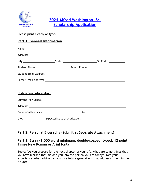

**2021 Alfred Washington, Sr. Scholarship Application**

**Please print clearly or type.** 

### **Part 1: General Information**

| <b>High School Information</b>                                                                                                                                                                                                 |  |  |  |  |
|--------------------------------------------------------------------------------------------------------------------------------------------------------------------------------------------------------------------------------|--|--|--|--|
|                                                                                                                                                                                                                                |  |  |  |  |
|                                                                                                                                                                                                                                |  |  |  |  |
|                                                                                                                                                                                                                                |  |  |  |  |
| GPA: Expected Date of Graduation: COPA: COPA: COPA: COPA: COPA: COPA: COPA: COPA: COPA: COPA: COPA: COPA: COPA: COPA: COPA: COPA: COPA: COPA: COPA: COPA: COPA: COPA: COPA: COPA: COPA: COPA: COPA: COPA: COPA: COPA: COPA: CO |  |  |  |  |
|                                                                                                                                                                                                                                |  |  |  |  |

## **Part 2: Personal Biography (Submit as Separate Attachment)**

#### **Part 3: Essay (1,000 word minimum; double-spaced; typed; 12 point Times New Roman or Arial font)**

Topic: "As you prepare for the next chapter of your life, what are some things that you have learned that molded you into the person you are today? From your experience, what advice can you give future generations that will assist them in the future?"